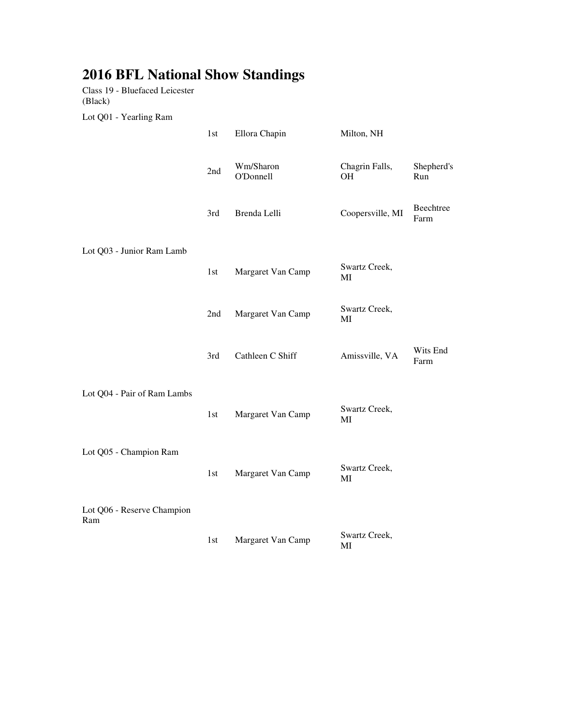## **2016 BFL National Show Standings**

Class 19 - Bluefaced Leicester (Black)

Lot Q01 - Yearling Ram

|                                   | 1st | Ellora Chapin          | Milton, NH           |                   |
|-----------------------------------|-----|------------------------|----------------------|-------------------|
|                                   | 2nd | Wm/Sharon<br>O'Donnell | Chagrin Falls,<br>OH | Shepherd's<br>Run |
|                                   | 3rd | Brenda Lelli           | Coopersville, MI     | Beechtree<br>Farm |
| Lot Q03 - Junior Ram Lamb         |     |                        |                      |                   |
|                                   | 1st | Margaret Van Camp      | Swartz Creek,<br>MI  |                   |
|                                   | 2nd | Margaret Van Camp      | Swartz Creek,<br>MI  |                   |
|                                   | 3rd | Cathleen C Shiff       | Amissville, VA       | Wits End<br>Farm  |
| Lot Q04 - Pair of Ram Lambs       |     |                        |                      |                   |
|                                   | 1st | Margaret Van Camp      | Swartz Creek,<br>MI  |                   |
| Lot Q05 - Champion Ram            |     |                        |                      |                   |
|                                   | 1st | Margaret Van Camp      | Swartz Creek,<br>MI  |                   |
| Lot Q06 - Reserve Champion<br>Ram |     |                        |                      |                   |
|                                   | 1st | Margaret Van Camp      | Swartz Creek,<br>MI  |                   |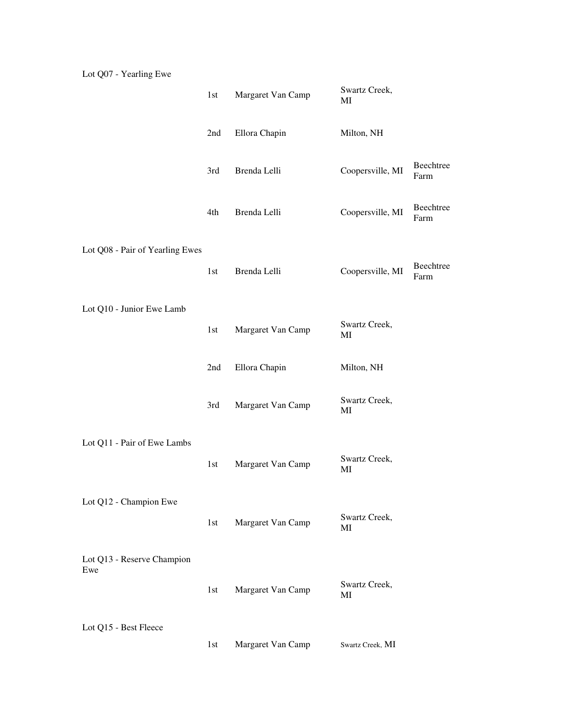|                                 | 1st | Margaret Van Camp | Swartz Creek,<br>$\rm MI$ |                   |
|---------------------------------|-----|-------------------|---------------------------|-------------------|
|                                 | 2nd | Ellora Chapin     | Milton, NH                |                   |
|                                 | 3rd | Brenda Lelli      | Coopersville, MI          | Beechtree<br>Farm |
|                                 | 4th | Brenda Lelli      | Coopersville, MI          | Beechtree<br>Farm |
| Lot Q08 - Pair of Yearling Ewes |     |                   |                           |                   |
|                                 | 1st | Brenda Lelli      | Coopersville, MI          | Beechtree<br>Farm |
| Lot Q10 - Junior Ewe Lamb       |     |                   |                           |                   |
|                                 | 1st | Margaret Van Camp | Swartz Creek,<br>MI       |                   |
|                                 | 2nd | Ellora Chapin     | Milton, NH                |                   |
|                                 | 3rd | Margaret Van Camp | Swartz Creek,<br>MI       |                   |
|                                 |     |                   |                           |                   |
| Lot Q11 - Pair of Ewe Lambs     | 1st | Margaret Van Camp | Swartz Creek,<br>MI       |                   |
| Lot Q12 - Champion Ewe          |     |                   |                           |                   |
|                                 | 1st | Margaret Van Camp | Swartz Creek,<br>MI       |                   |
| Lot Q13 - Reserve Champion      |     |                   |                           |                   |
| Ewe                             | 1st | Margaret Van Camp | Swartz Creek,<br>MI       |                   |
|                                 |     |                   |                           |                   |
| Lot Q15 - Best Fleece           | 1st | Margaret Van Camp | Swartz Creek, MI          |                   |

Lot Q07 - Yearling Ewe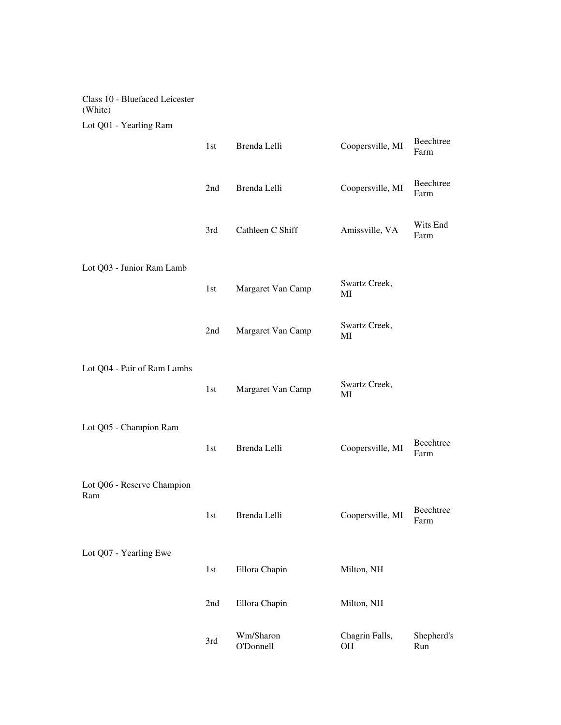## Class 10 - Bluefaced Leicester (White) Lot Q01 - Yearling Ram

|                             | 1st   | Brenda Lelli           | Coopersville, MI            | Beechtree<br>Farm |
|-----------------------------|-------|------------------------|-----------------------------|-------------------|
|                             | 2nd   | Brenda Lelli           | Coopersville, MI            | Beechtree<br>Farm |
|                             | 3rd   | Cathleen C Shiff       | Amissville, VA              | Wits End<br>Farm  |
|                             |       |                        |                             |                   |
| Lot Q03 - Junior Ram Lamb   | 1st   | Margaret Van Camp      | Swartz Creek,<br>MI         |                   |
|                             | 2nd   | Margaret Van Camp      | Swartz Creek,<br>MI         |                   |
| Lot Q04 - Pair of Ram Lambs |       |                        |                             |                   |
|                             | 1st   | Margaret Van Camp      | Swartz Creek,<br>MI         |                   |
| Lot Q05 - Champion Ram      |       |                        |                             |                   |
|                             | 1st   | Brenda Lelli           | Coopersville, MI            | Beechtree<br>Farm |
| Lot Q06 - Reserve Champion  |       |                        |                             |                   |
| Ram                         | 1st   | Brenda Lelli           | Coopersville, MI            | Beechtree<br>Farm |
| Lot Q07 - Yearling Ewe      |       |                        |                             |                   |
|                             | $1st$ | Ellora Chapin          | Milton, NH                  |                   |
|                             | 2nd   | Ellora Chapin          | Milton, NH                  |                   |
|                             | 3rd   | Wm/Sharon<br>O'Donnell | Chagrin Falls,<br><b>OH</b> | Shepherd's<br>Run |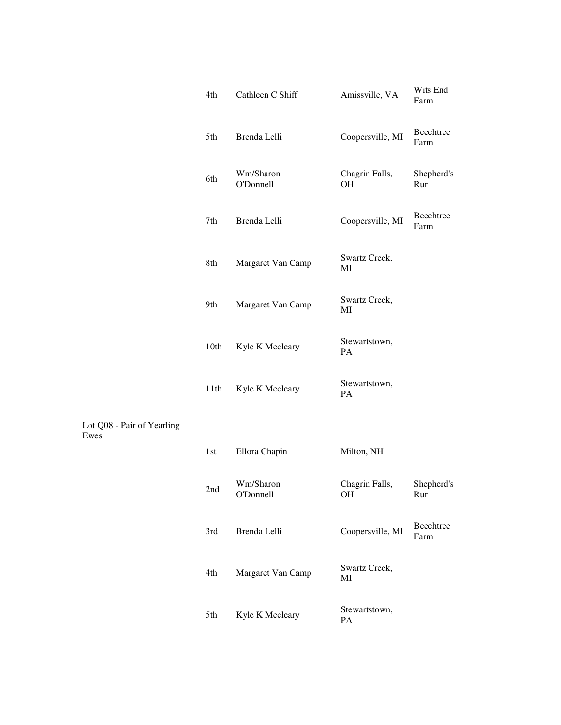| 4th  | Cathleen C Shiff              | Amissville, VA              | Wits End<br>Farm  |
|------|-------------------------------|-----------------------------|-------------------|
| 5th  | Brenda Lelli                  | Coopersville, MI            | Beechtree<br>Farm |
| 6th  | Wm/Sharon<br>O'Donnell        | Chagrin Falls,<br><b>OH</b> | Shepherd's<br>Run |
| 7th  | Brenda Lelli                  | Coopersville, MI            | Beechtree<br>Farm |
| 8th  | Margaret Van Camp             | Swartz Creek,<br>MI         |                   |
| 9th  | Margaret Van Camp             | Swartz Creek,<br>MI         |                   |
| 10th | Kyle K Mccleary               | Stewartstown,<br>PA         |                   |
| 11th | Kyle K Mccleary               | Stewartstown,<br><b>PA</b>  |                   |
|      |                               |                             |                   |
| 1st  | Ellora Chapin                 | Milton, NH                  |                   |
| 2nd  | Wm/Sharon<br><b>O'Donnell</b> | Chagrin Falls,<br>OH        | Shepherd's<br>Run |
| 3rd  | Brenda Lelli                  | Coopersville, MI            | Beechtree<br>Farm |
| 4th  | Margaret Van Camp             | Swartz Creek,<br>MI         |                   |
| 5th  | Kyle K Mccleary               | Stewartstown,<br>PA         |                   |

Lot Q08 - Pair of Yearling

Ewes